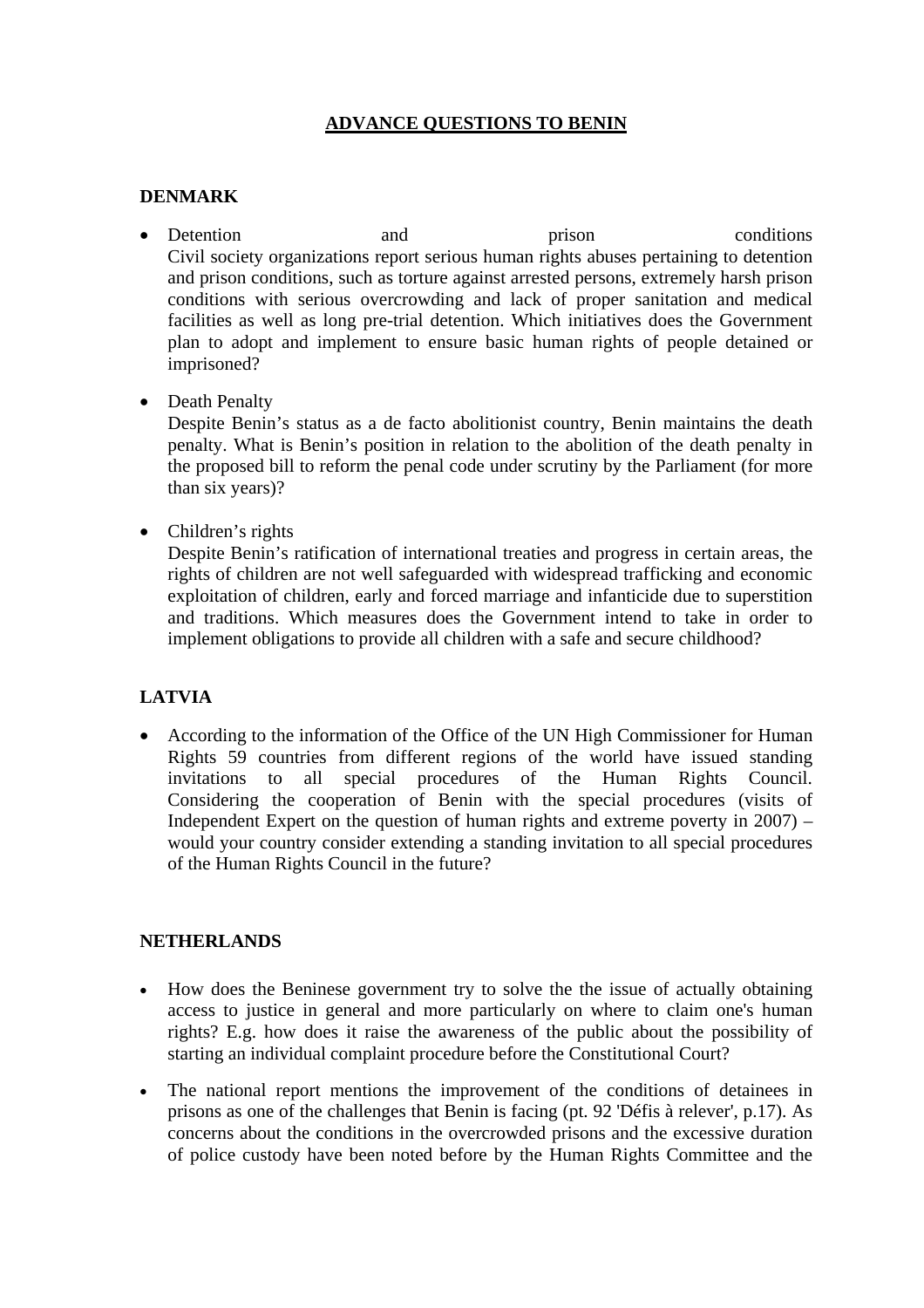# **ADVANCE QUESTIONS TO BENIN**

## **DENMARK**

- Detention and prison conditions Civil society organizations report serious human rights abuses pertaining to detention and prison conditions, such as torture against arrested persons, extremely harsh prison conditions with serious overcrowding and lack of proper sanitation and medical facilities as well as long pre-trial detention. Which initiatives does the Government plan to adopt and implement to ensure basic human rights of people detained or imprisoned?
- Death Penalty

Despite Benin's status as a de facto abolitionist country, Benin maintains the death penalty. What is Benin's position in relation to the abolition of the death penalty in the proposed bill to reform the penal code under scrutiny by the Parliament (for more than six years)?

• Children's rights

Despite Benin's ratification of international treaties and progress in certain areas, the rights of children are not well safeguarded with widespread trafficking and economic exploitation of children, early and forced marriage and infanticide due to superstition and traditions. Which measures does the Government intend to take in order to implement obligations to provide all children with a safe and secure childhood?

## **LATVIA**

• According to the information of the Office of the UN High Commissioner for Human Rights 59 countries from different regions of the world have issued standing invitations to all special procedures of the Human Rights Council. Considering the cooperation of Benin with the special procedures (visits of Independent Expert on the question of human rights and extreme poverty in  $2007$  – would your country consider extending a standing invitation to all special procedures of the Human Rights Council in the future?

### **NETHERLANDS**

- How does the Beninese government try to solve the the issue of actually obtaining access to justice in general and more particularly on where to claim one's human rights? E.g. how does it raise the awareness of the public about the possibility of starting an individual complaint procedure before the Constitutional Court?
- The national report mentions the improvement of the conditions of detainees in prisons as one of the challenges that Benin is facing (pt. 92 'Défis à relever', p.17). As concerns about the conditions in the overcrowded prisons and the excessive duration of police custody have been noted before by the Human Rights Committee and the